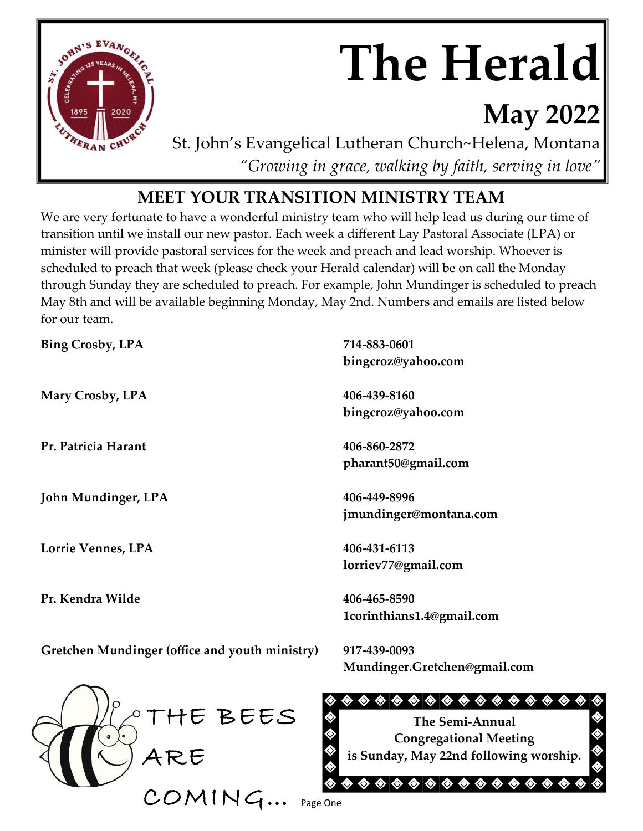

# **The Herald**

# **May 2022**

St. John's Evangelical Lutheran Church~Helena, Montana *"Growing in grace, walking by faith, serving in love"*

# **MEET YOUR TRANSITION MINISTRY TEAM**

We are very fortunate to have a wonderful ministry team who will help lead us during our time of transition until we install our new pastor. Each week a different Lay Pastoral Associate (LPA) or minister will provide pastoral services for the week and preach and lead worship. Whoever is scheduled to preach that week (please check your Herald calendar) will be on call the Monday through Sunday they are scheduled to preach. For example, John Mundinger is scheduled to preach May 8th and will be available beginning Monday, May 2nd. Numbers and emails are listed below for our team.

| <b>Bing Crosby, LPA</b>                        | 714-883-0601                                                                                                                                                                                                                                         |
|------------------------------------------------|------------------------------------------------------------------------------------------------------------------------------------------------------------------------------------------------------------------------------------------------------|
|                                                | bingcroz@yahoo.com                                                                                                                                                                                                                                   |
| Mary Crosby, LPA                               | 406-439-8160                                                                                                                                                                                                                                         |
|                                                | bingcroz@yahoo.com                                                                                                                                                                                                                                   |
| Pr. Patricia Harant                            | 406-860-2872                                                                                                                                                                                                                                         |
|                                                | pharant50@gmail.com                                                                                                                                                                                                                                  |
| John Mundinger, LPA                            | 406-449-8996                                                                                                                                                                                                                                         |
|                                                | jmundinger@montana.com                                                                                                                                                                                                                               |
| Lorrie Vennes, LPA                             | 406-431-6113                                                                                                                                                                                                                                         |
|                                                | lorriev77@gmail.com                                                                                                                                                                                                                                  |
| Pr. Kendra Wilde                               | 406-465-8590                                                                                                                                                                                                                                         |
|                                                | 1corinthians1.4@gmail.com                                                                                                                                                                                                                            |
| Gretchen Mundinger (office and youth ministry) | 917-439-0093                                                                                                                                                                                                                                         |
|                                                | Mundinger.Gretchen@gmail.com                                                                                                                                                                                                                         |
|                                                | $\color{blue}\blacklozenge\color{orange}\blacklozenge\color{orange}\blacklozenge\color{orange}\blacklozenge\color{orange}\blacklozenge\color{orange}\blacklozenge\color{orange}\blacklozenge\color{orange}\blacklozenge$<br>$\diamondsuit$<br>◈<br>◈ |
| THE BEES                                       | The Semi-Annual                                                                                                                                                                                                                                      |
|                                                | <b>Congregational Meeting</b>                                                                                                                                                                                                                        |

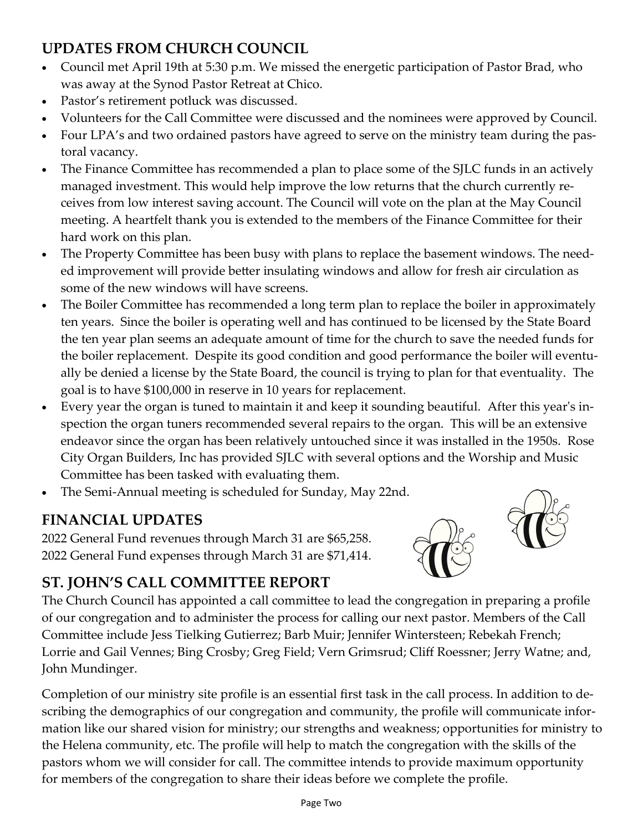# **UPDATES FROM CHURCH COUNCIL**

- Council met April 19th at 5:30 p.m. We missed the energetic participation of Pastor Brad, who was away at the Synod Pastor Retreat at Chico.
- Pastor's retirement potluck was discussed.
- Volunteers for the Call Committee were discussed and the nominees were approved by Council.
- Four LPA's and two ordained pastors have agreed to serve on the ministry team during the pastoral vacancy.
- The Finance Committee has recommended a plan to place some of the SJLC funds in an actively managed investment. This would help improve the low returns that the church currently receives from low interest saving account. The Council will vote on the plan at the May Council meeting. A heartfelt thank you is extended to the members of the Finance Committee for their hard work on this plan.
- The Property Committee has been busy with plans to replace the basement windows. The needed improvement will provide better insulating windows and allow for fresh air circulation as some of the new windows will have screens.
- The Boiler Committee has recommended a long term plan to replace the boiler in approximately ten years. Since the boiler is operating well and has continued to be licensed by the State Board the ten year plan seems an adequate amount of time for the church to save the needed funds for the boiler replacement. Despite its good condition and good performance the boiler will eventually be denied a license by the State Board, the council is trying to plan for that eventuality. The goal is to have \$100,000 in reserve in 10 years for replacement.
- Every year the organ is tuned to maintain it and keep it sounding beautiful. After this year's inspection the organ tuners recommended several repairs to the organ. This will be an extensive endeavor since the organ has been relatively untouched since it was installed in the 1950s. Rose City Organ Builders, Inc has provided SJLC with several options and the Worship and Music Committee has been tasked with evaluating them.
- The Semi-Annual meeting is scheduled for Sunday, May 22nd.

# **FINANCIAL UPDATES**

2022 General Fund revenues through March 31 are \$65,258. 2022 General Fund expenses through March 31 are \$71,414.





# **ST. JOHN'S CALL COMMITTEE REPORT**

The Church Council has appointed a call committee to lead the congregation in preparing a profile of our congregation and to administer the process for calling our next pastor. Members of the Call Committee include Jess Tielking Gutierrez; Barb Muir; Jennifer Wintersteen; Rebekah French; Lorrie and Gail Vennes; Bing Crosby; Greg Field; Vern Grimsrud; Cliff Roessner; Jerry Watne; and, John Mundinger.

Completion of our ministry site profile is an essential first task in the call process. In addition to describing the demographics of our congregation and community, the profile will communicate information like our shared vision for ministry; our strengths and weakness; opportunities for ministry to the Helena community, etc. The profile will help to match the congregation with the skills of the pastors whom we will consider for call. The committee intends to provide maximum opportunity for members of the congregation to share their ideas before we complete the profile.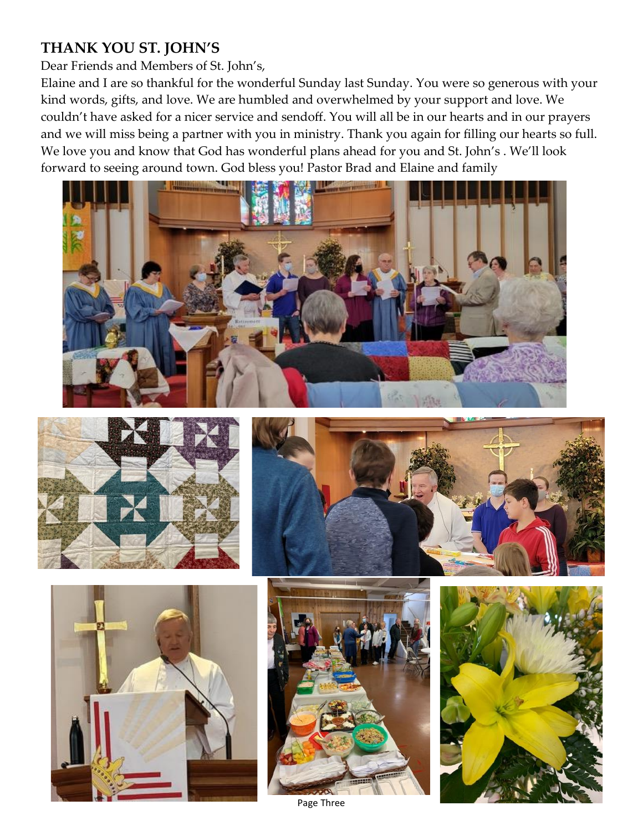# **THANK YOU ST. JOHN'S**

Dear Friends and Members of St. John's,

Elaine and I are so thankful for the wonderful Sunday last Sunday. You were so generous with your kind words, gifts, and love. We are humbled and overwhelmed by your support and love. We couldn't have asked for a nicer service and sendoff. You will all be in our hearts and in our prayers and we will miss being a partner with you in ministry. Thank you again for filling our hearts so full. We love you and know that God has wonderful plans ahead for you and St. John's . We'll look forward to seeing around town. God bless you! Pastor Brad and Elaine and family













Page Three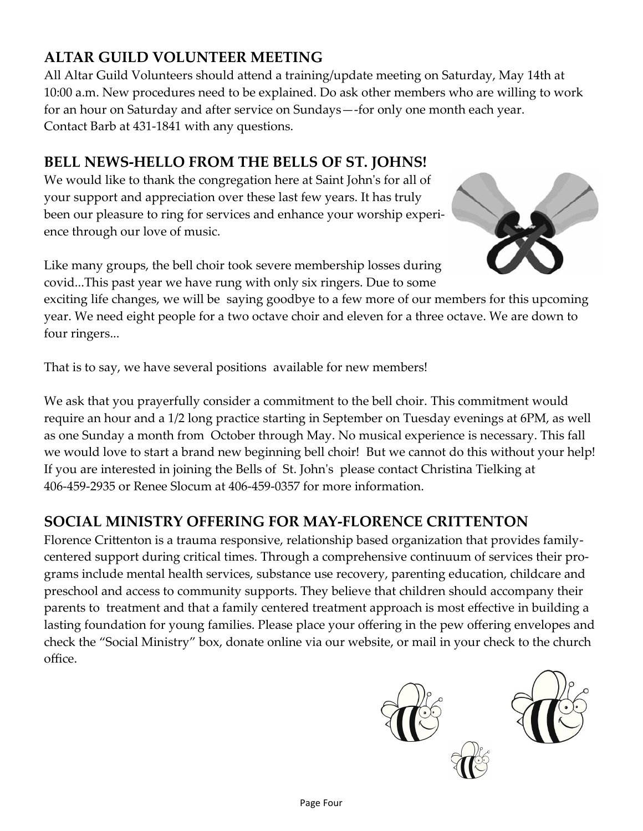# **ALTAR GUILD VOLUNTEER MEETING**

All Altar Guild Volunteers should attend a training/update meeting on Saturday, May 14th at 10:00 a.m. New procedures need to be explained. Do ask other members who are willing to work for an hour on Saturday and after service on Sundays—-for only one month each year. Contact Barb at 431-1841 with any questions.

# **BELL NEWS-HELLO FROM THE BELLS OF ST. JOHNS!**

We would like to thank the congregation here at Saint John's for all of your support and appreciation over these last few years. It has truly been our pleasure to ring for services and enhance your worship experience through our love of music.

Like many groups, the bell choir took severe membership losses during covid...This past year we have rung with only six ringers. Due to some

exciting life changes, we will be saying goodbye to a few more of our members for this upcoming year. We need eight people for a two octave choir and eleven for a three octave. We are down to four ringers...

That is to say, we have several positions available for new members!

We ask that you prayerfully consider a commitment to the bell choir. This commitment would require an hour and a 1/2 long practice starting in September on Tuesday evenings at 6PM, as well as one Sunday a month from October through May. No musical experience is necessary. This fall we would love to start a brand new beginning bell choir! But we cannot do this without your help! If you are interested in joining the Bells of St. John's please contact Christina Tielking at 406-459-2935 or Renee Slocum at 406-459-0357 for more information.

# **SOCIAL MINISTRY OFFERING FOR MAY-FLORENCE CRITTENTON**

Florence Crittenton is a trauma responsive, relationship based organization that provides familycentered support during critical times. Through a comprehensive continuum of services their programs include mental health services, substance use recovery, parenting education, childcare and preschool and access to community supports. They believe that children should accompany their parents to treatment and that a family centered treatment approach is most effective in building a lasting foundation for young families. Please place your offering in the pew offering envelopes and check the "Social Ministry" box, donate online via our website, or mail in your check to the church office.





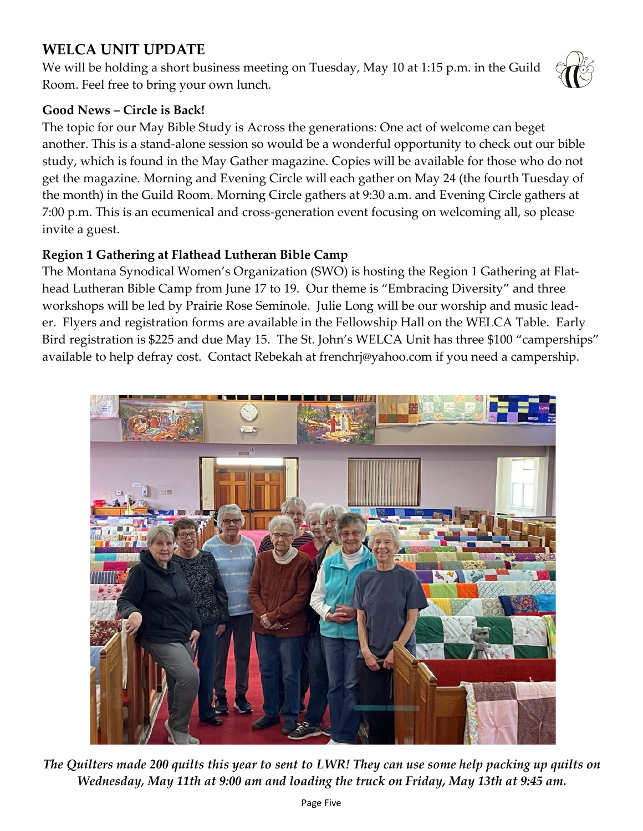# **WELCA UNIT UPDATE**

We will be holding a short business meeting on Tuesday, May 10 at 1:15 p.m. in the Guild Room. Feel free to bring your own lunch.



#### **Good News – Circle is Back!**

The topic for our May Bible Study is Across the generations: One act of welcome can beget another. This is a stand-alone session so would be a wonderful opportunity to check out our bible study, which is found in the May Gather magazine. Copies will be available for those who do not get the magazine. Morning and Evening Circle will each gather on May 24 (the fourth Tuesday of the month) in the Guild Room. Morning Circle gathers at 9:30 a.m. and Evening Circle gathers at 7:00 p.m. This is an ecumenical and cross-generation event focusing on welcoming all, so please invite a guest.

#### **Region 1 Gathering at Flathead Lutheran Bible Camp**

The Montana Synodical Women's Organization (SWO) is hosting the Region 1 Gathering at Flathead Lutheran Bible Camp from June 17 to 19. Our theme is "Embracing Diversity" and three workshops will be led by Prairie Rose Seminole. Julie Long will be our worship and music leader. Flyers and registration forms are available in the Fellowship Hall on the WELCA Table. Early Bird registration is \$225 and due May 15. The St. John's WELCA Unit has three \$100 "camperships" available to help defray cost. Contact Rebekah at frenchrj@yahoo.com if you need a campership.



*The Quilters made 200 quilts this year to sent to LWR! They can use some help packing up quilts on Wednesday, May 11th at 9:00 am and loading the truck on Friday, May 13th at 9:45 am.*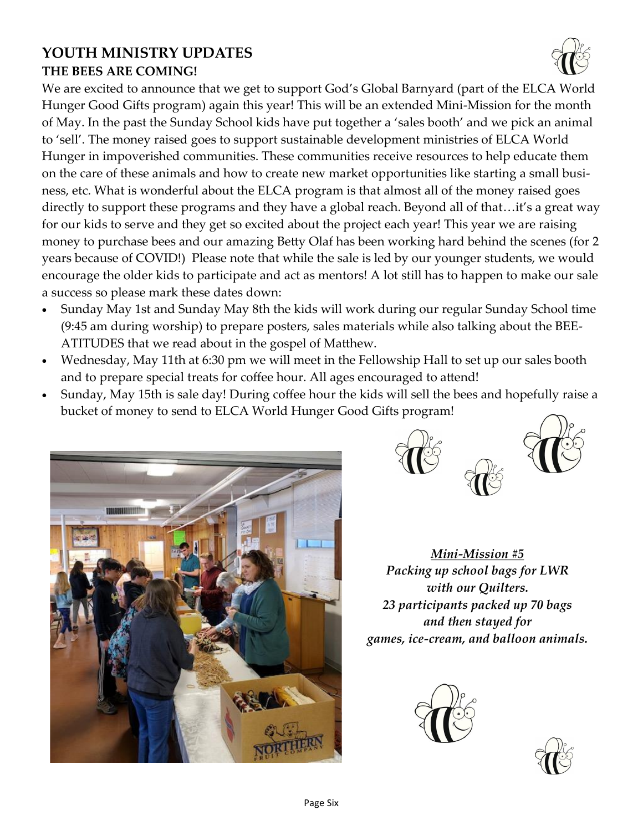# **YOUTH MINISTRY UPDATES THE BEES ARE COMING!**

We are excited to announce that we get to support God's Global Barnyard (part of the ELCA World Hunger Good Gifts program) again this year! This will be an extended Mini-Mission for the month of May. In the past the Sunday School kids have put together a 'sales booth' and we pick an animal to 'sell'. The money raised goes to support sustainable development ministries of ELCA World Hunger in impoverished communities. These communities receive resources to help educate them on the care of these animals and how to create new market opportunities like starting a small business, etc. What is wonderful about the ELCA program is that almost all of the money raised goes directly to support these programs and they have a global reach. Beyond all of that…it's a great way for our kids to serve and they get so excited about the project each year! This year we are raising money to purchase bees and our amazing Betty Olaf has been working hard behind the scenes (for 2 years because of COVID!) Please note that while the sale is led by our younger students, we would encourage the older kids to participate and act as mentors! A lot still has to happen to make our sale a success so please mark these dates down:

- Sunday May 1st and Sunday May 8th the kids will work during our regular Sunday School time (9:45 am during worship) to prepare posters, sales materials while also talking about the BEE-ATITUDES that we read about in the gospel of Matthew.
- Wednesday, May 11th at 6:30 pm we will meet in the Fellowship Hall to set up our sales booth and to prepare special treats for coffee hour. All ages encouraged to attend!
- Sunday, May 15th is sale day! During coffee hour the kids will sell the bees and hopefully raise a bucket of money to send to ELCA World Hunger Good Gifts program!





*Mini-Mission #5 Packing up school bags for LWR with our Quilters. 23 participants packed up 70 bags and then stayed for games, ice-cream, and balloon animals.* 



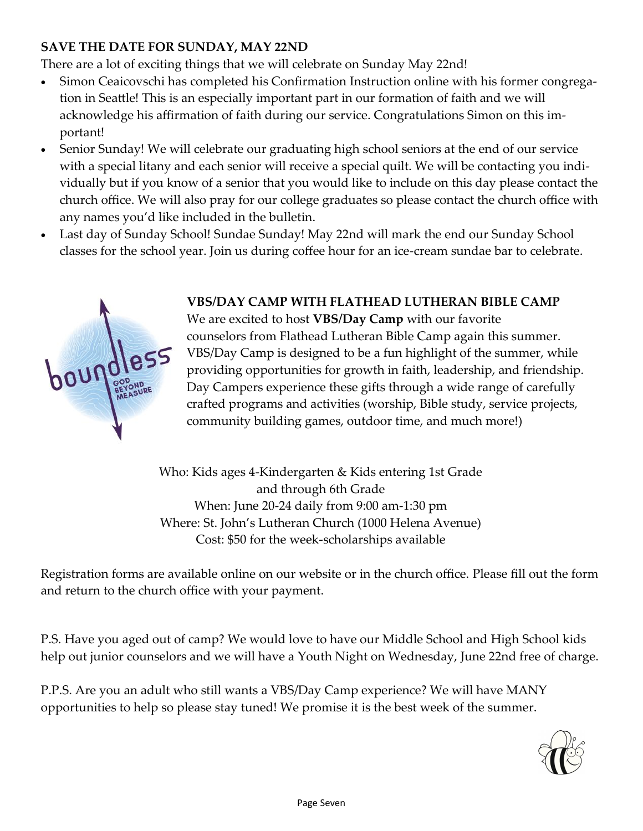#### **SAVE THE DATE FOR SUNDAY, MAY 22ND**

There are a lot of exciting things that we will celebrate on Sunday May 22nd!

- Simon Ceaicovschi has completed his Confirmation Instruction online with his former congregation in Seattle! This is an especially important part in our formation of faith and we will acknowledge his affirmation of faith during our service. Congratulations Simon on this important!
- Senior Sunday! We will celebrate our graduating high school seniors at the end of our service with a special litany and each senior will receive a special quilt. We will be contacting you individually but if you know of a senior that you would like to include on this day please contact the church office. We will also pray for our college graduates so please contact the church office with any names you'd like included in the bulletin.
- Last day of Sunday School! Sundae Sunday! May 22nd will mark the end our Sunday School classes for the school year. Join us during coffee hour for an ice-cream sundae bar to celebrate.



#### **VBS/DAY CAMP WITH FLATHEAD LUTHERAN BIBLE CAMP**

We are excited to host **VBS/Day Camp** with our favorite counselors from Flathead Lutheran Bible Camp again this summer. VBS/Day Camp is designed to be a fun highlight of the summer, while providing opportunities for growth in faith, leadership, and friendship. Day Campers experience these gifts through a wide range of carefully crafted programs and activities (worship, Bible study, service projects, community building games, outdoor time, and much more!)

Who: Kids ages 4-Kindergarten & Kids entering 1st Grade and through 6th Grade When: June 20-24 daily from 9:00 am-1:30 pm Where: St. John's Lutheran Church (1000 Helena Avenue) Cost: \$50 for the week-scholarships available

Registration forms are available online on our website or in the church office. Please fill out the form and return to the church office with your payment.

P.S. Have you aged out of camp? We would love to have our Middle School and High School kids help out junior counselors and we will have a Youth Night on Wednesday, June 22nd free of charge.

P.P.S. Are you an adult who still wants a VBS/Day Camp experience? We will have MANY opportunities to help so please stay tuned! We promise it is the best week of the summer.